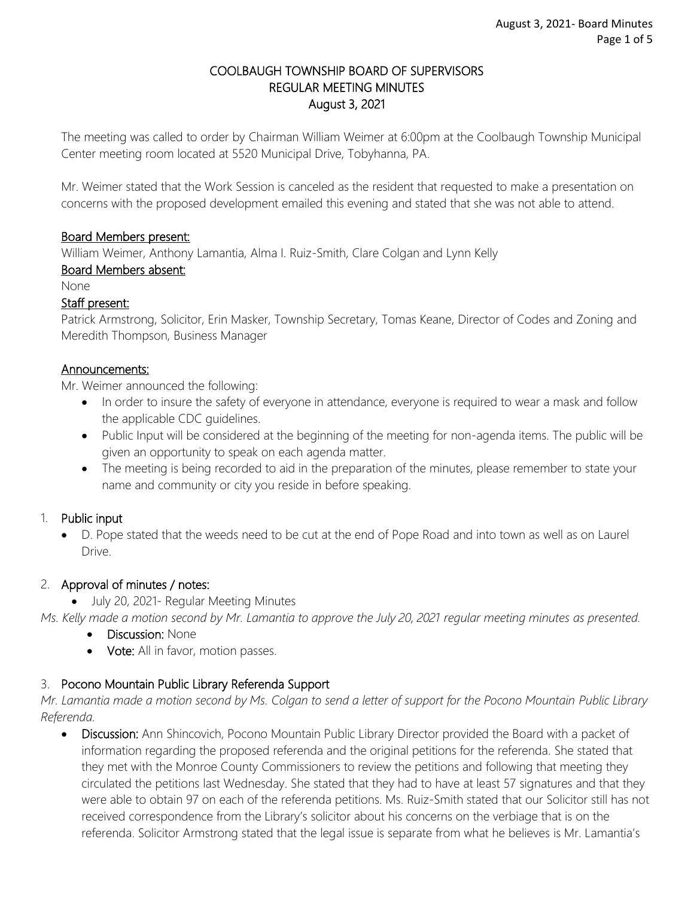### COOLBAUGH TOWNSHIP BOARD OF SUPERVISORS REGULAR MEETING MINUTES August 3, 2021

The meeting was called to order by Chairman William Weimer at 6:00pm at the Coolbaugh Township Municipal Center meeting room located at 5520 Municipal Drive, Tobyhanna, PA.

Mr. Weimer stated that the Work Session is canceled as the resident that requested to make a presentation on concerns with the proposed development emailed this evening and stated that she was not able to attend.

### Board Members present:

William Weimer, Anthony Lamantia, Alma I. Ruiz-Smith, Clare Colgan and Lynn Kelly

### Board Members absent:

None

### Staff present:

Patrick Armstrong, Solicitor, Erin Masker, Township Secretary, Tomas Keane, Director of Codes and Zoning and Meredith Thompson, Business Manager

#### Announcements:

Mr. Weimer announced the following:

- In order to insure the safety of everyone in attendance, everyone is required to wear a mask and follow the applicable CDC guidelines.
- Public Input will be considered at the beginning of the meeting for non-agenda items. The public will be given an opportunity to speak on each agenda matter.
- The meeting is being recorded to aid in the preparation of the minutes, please remember to state your name and community or city you reside in before speaking.

### 1. Public input

 D. Pope stated that the weeds need to be cut at the end of Pope Road and into town as well as on Laurel Drive.

### 2. Approval of minutes / notes:

• July 20, 2021- Regular Meeting Minutes

*Ms. Kelly made a motion second by Mr. Lamantia to approve the July 20, 2021 regular meeting minutes as presented.* 

- Discussion: None
- Vote: All in favor, motion passes.

## 3. Pocono Mountain Public Library Referenda Support

*Mr. Lamantia made a motion second by Ms. Colgan to send a letter of support for the Pocono Mountain Public Library Referenda.*

 Discussion: Ann Shincovich, Pocono Mountain Public Library Director provided the Board with a packet of information regarding the proposed referenda and the original petitions for the referenda. She stated that they met with the Monroe County Commissioners to review the petitions and following that meeting they circulated the petitions last Wednesday. She stated that they had to have at least 57 signatures and that they were able to obtain 97 on each of the referenda petitions. Ms. Ruiz-Smith stated that our Solicitor still has not received correspondence from the Library's solicitor about his concerns on the verbiage that is on the referenda. Solicitor Armstrong stated that the legal issue is separate from what he believes is Mr. Lamantia's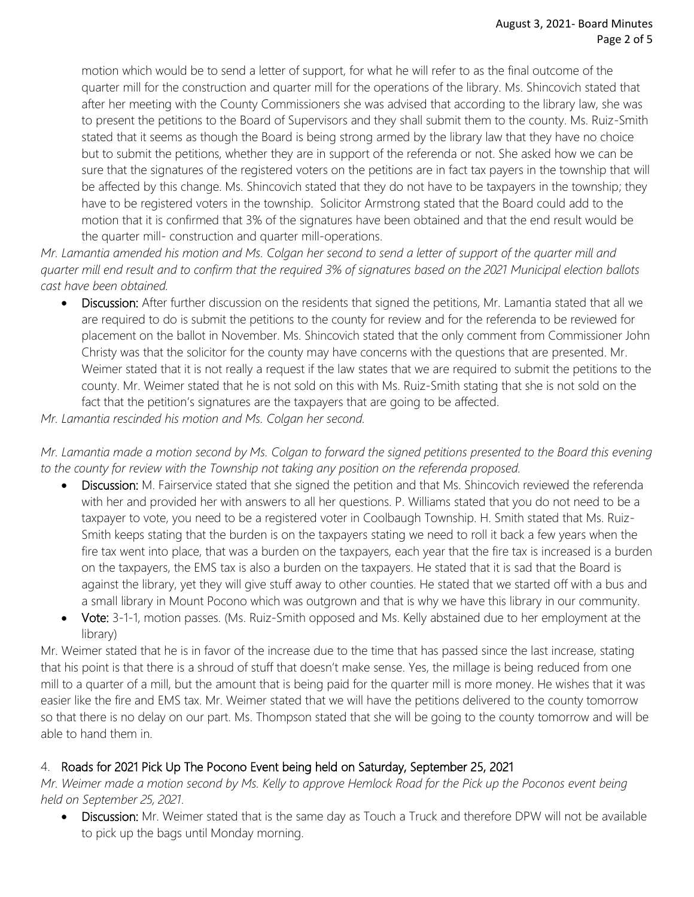motion which would be to send a letter of support, for what he will refer to as the final outcome of the quarter mill for the construction and quarter mill for the operations of the library. Ms. Shincovich stated that after her meeting with the County Commissioners she was advised that according to the library law, she was to present the petitions to the Board of Supervisors and they shall submit them to the county. Ms. Ruiz-Smith stated that it seems as though the Board is being strong armed by the library law that they have no choice but to submit the petitions, whether they are in support of the referenda or not. She asked how we can be sure that the signatures of the registered voters on the petitions are in fact tax payers in the township that will be affected by this change. Ms. Shincovich stated that they do not have to be taxpayers in the township; they have to be registered voters in the township. Solicitor Armstrong stated that the Board could add to the motion that it is confirmed that 3% of the signatures have been obtained and that the end result would be the quarter mill- construction and quarter mill-operations.

*Mr. Lamantia amended his motion and Ms. Colgan her second to send a letter of support of the quarter mill and quarter mill end result and to confirm that the required 3% of signatures based on the 2021 Municipal election ballots cast have been obtained.* 

 Discussion: After further discussion on the residents that signed the petitions, Mr. Lamantia stated that all we are required to do is submit the petitions to the county for review and for the referenda to be reviewed for placement on the ballot in November. Ms. Shincovich stated that the only comment from Commissioner John Christy was that the solicitor for the county may have concerns with the questions that are presented. Mr. Weimer stated that it is not really a request if the law states that we are required to submit the petitions to the county. Mr. Weimer stated that he is not sold on this with Ms. Ruiz-Smith stating that she is not sold on the fact that the petition's signatures are the taxpayers that are going to be affected.

*Mr. Lamantia rescinded his motion and Ms. Colgan her second.* 

*Mr. Lamantia made a motion second by Ms. Colgan to forward the signed petitions presented to the Board this evening to the county for review with the Township not taking any position on the referenda proposed.* 

- Discussion: M. Fairservice stated that she signed the petition and that Ms. Shincovich reviewed the referenda with her and provided her with answers to all her questions. P. Williams stated that you do not need to be a taxpayer to vote, you need to be a registered voter in Coolbaugh Township. H. Smith stated that Ms. Ruiz-Smith keeps stating that the burden is on the taxpayers stating we need to roll it back a few years when the fire tax went into place, that was a burden on the taxpayers, each year that the fire tax is increased is a burden on the taxpayers, the EMS tax is also a burden on the taxpayers. He stated that it is sad that the Board is against the library, yet they will give stuff away to other counties. He stated that we started off with a bus and a small library in Mount Pocono which was outgrown and that is why we have this library in our community.
- Vote: 3-1-1, motion passes. (Ms. Ruiz-Smith opposed and Ms. Kelly abstained due to her employment at the library)

Mr. Weimer stated that he is in favor of the increase due to the time that has passed since the last increase, stating that his point is that there is a shroud of stuff that doesn't make sense. Yes, the millage is being reduced from one mill to a quarter of a mill, but the amount that is being paid for the quarter mill is more money. He wishes that it was easier like the fire and EMS tax. Mr. Weimer stated that we will have the petitions delivered to the county tomorrow so that there is no delay on our part. Ms. Thompson stated that she will be going to the county tomorrow and will be able to hand them in.

## 4. Roads for 2021 Pick Up The Pocono Event being held on Saturday, September 25, 2021

*Mr. Weimer made a motion second by Ms. Kelly to approve Hemlock Road for the Pick up the Poconos event being held on September 25, 2021.*

Discussion: Mr. Weimer stated that is the same day as Touch a Truck and therefore DPW will not be available to pick up the bags until Monday morning.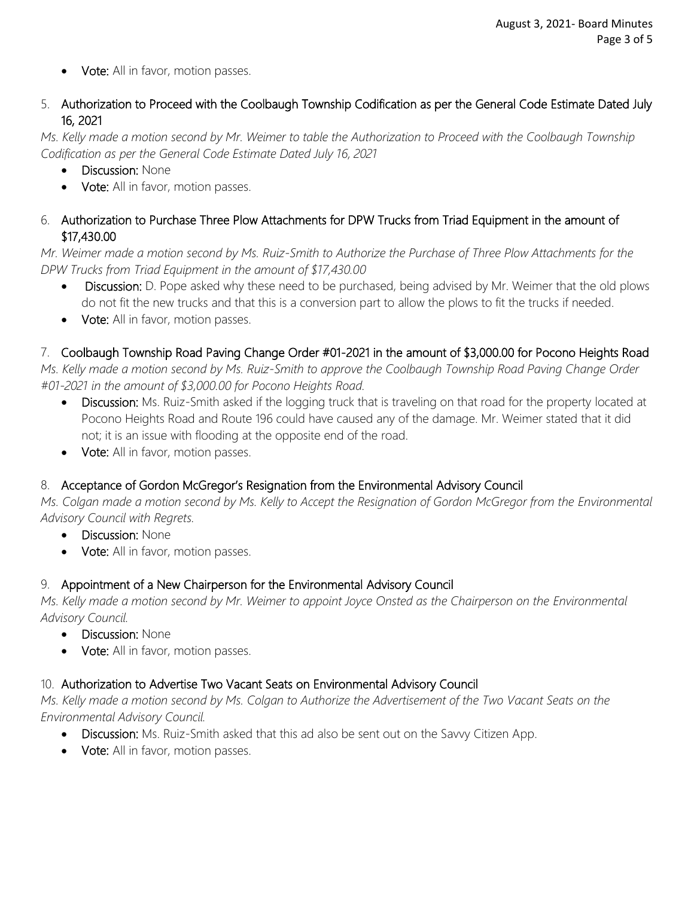- Vote: All in favor, motion passes.
- 5. Authorization to Proceed with the Coolbaugh Township Codification as per the General Code Estimate Dated July 16, 2021

*Ms. Kelly made a motion second by Mr. Weimer to table the Authorization to Proceed with the Coolbaugh Township Codification as per the General Code Estimate Dated July 16, 2021*

- Discussion: None
- Vote: All in favor, motion passes.
- 6. Authorization to Purchase Three Plow Attachments for DPW Trucks from Triad Equipment in the amount of \$17,430.00

*Mr. Weimer made a motion second by Ms. Ruiz-Smith to Authorize the Purchase of Three Plow Attachments for the DPW Trucks from Triad Equipment in the amount of \$17,430.00* 

- Discussion: D. Pope asked why these need to be purchased, being advised by Mr. Weimer that the old plows do not fit the new trucks and that this is a conversion part to allow the plows to fit the trucks if needed.
- Vote: All in favor, motion passes.

# 7. Coolbaugh Township Road Paving Change Order #01-2021 in the amount of \$3,000.00 for Pocono Heights Road

*Ms. Kelly made a motion second by Ms. Ruiz-Smith to approve the Coolbaugh Township Road Paving Change Order #01-2021 in the amount of \$3,000.00 for Pocono Heights Road.*

- Discussion: Ms. Ruiz-Smith asked if the logging truck that is traveling on that road for the property located at Pocono Heights Road and Route 196 could have caused any of the damage. Mr. Weimer stated that it did not; it is an issue with flooding at the opposite end of the road.
- Vote: All in favor, motion passes.

## 8. Acceptance of Gordon McGregor's Resignation from the Environmental Advisory Council

*Ms. Colgan made a motion second by Ms. Kelly to Accept the Resignation of Gordon McGregor from the Environmental Advisory Council with Regrets.* 

- Discussion: None
- Vote: All in favor, motion passes.

## 9. Appointment of a New Chairperson for the Environmental Advisory Council

*Ms. Kelly made a motion second by Mr. Weimer to appoint Joyce Onsted as the Chairperson on the Environmental Advisory Council.* 

- Discussion: None
- Vote: All in favor, motion passes.

## 10. Authorization to Advertise Two Vacant Seats on Environmental Advisory Council

*Ms. Kelly made a motion second by Ms. Colgan to Authorize the Advertisement of the Two Vacant Seats on the Environmental Advisory Council.* 

- Discussion: Ms. Ruiz-Smith asked that this ad also be sent out on the Savvy Citizen App.
- Vote: All in favor, motion passes.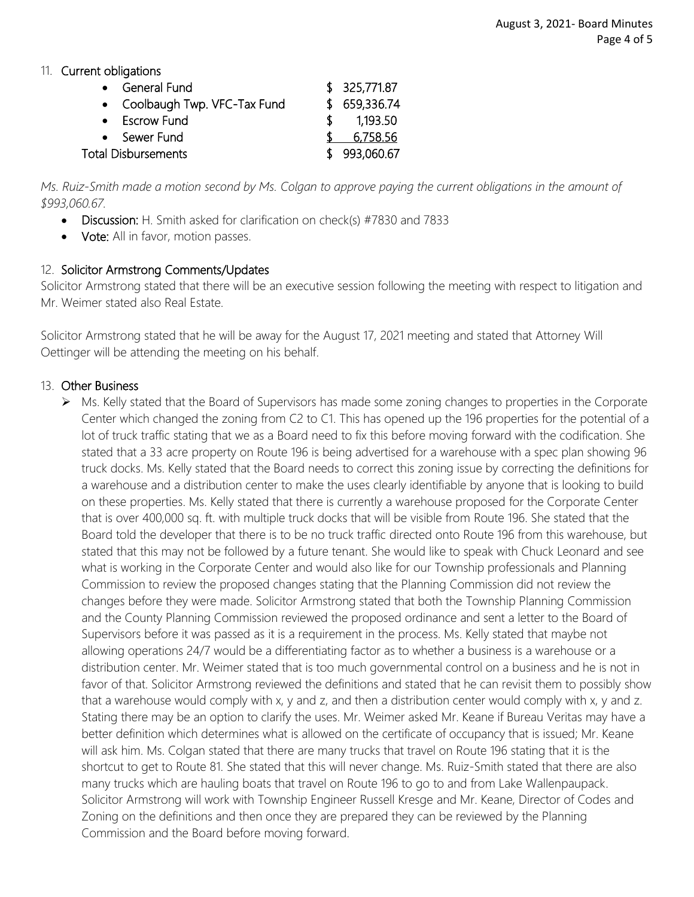### 11. Current obligations

| • General Fund                |     | \$325,771.87  |
|-------------------------------|-----|---------------|
| • Coolbaugh Twp. VFC-Tax Fund |     | \$ 659,336.74 |
| • Escrow Fund                 | ST. | 1,193.50      |
| • Sewer Fund                  |     | 6,758.56      |
| <b>Total Disbursements</b>    |     | \$993,060.67  |

*Ms. Ruiz-Smith made a motion second by Ms. Colgan to approve paying the current obligations in the amount of \$993,060.67.* 

- Discussion: H. Smith asked for clarification on check(s) #7830 and 7833
- **Vote:** All in favor, motion passes.

#### 12. Solicitor Armstrong Comments/Updates

Solicitor Armstrong stated that there will be an executive session following the meeting with respect to litigation and Mr. Weimer stated also Real Estate.

Solicitor Armstrong stated that he will be away for the August 17, 2021 meeting and stated that Attorney Will Oettinger will be attending the meeting on his behalf.

#### 13. Other Business

 $\triangleright$  Ms. Kelly stated that the Board of Supervisors has made some zoning changes to properties in the Corporate Center which changed the zoning from C2 to C1. This has opened up the 196 properties for the potential of a lot of truck traffic stating that we as a Board need to fix this before moving forward with the codification. She stated that a 33 acre property on Route 196 is being advertised for a warehouse with a spec plan showing 96 truck docks. Ms. Kelly stated that the Board needs to correct this zoning issue by correcting the definitions for a warehouse and a distribution center to make the uses clearly identifiable by anyone that is looking to build on these properties. Ms. Kelly stated that there is currently a warehouse proposed for the Corporate Center that is over 400,000 sq. ft. with multiple truck docks that will be visible from Route 196. She stated that the Board told the developer that there is to be no truck traffic directed onto Route 196 from this warehouse, but stated that this may not be followed by a future tenant. She would like to speak with Chuck Leonard and see what is working in the Corporate Center and would also like for our Township professionals and Planning Commission to review the proposed changes stating that the Planning Commission did not review the changes before they were made. Solicitor Armstrong stated that both the Township Planning Commission and the County Planning Commission reviewed the proposed ordinance and sent a letter to the Board of Supervisors before it was passed as it is a requirement in the process. Ms. Kelly stated that maybe not allowing operations 24/7 would be a differentiating factor as to whether a business is a warehouse or a distribution center. Mr. Weimer stated that is too much governmental control on a business and he is not in favor of that. Solicitor Armstrong reviewed the definitions and stated that he can revisit them to possibly show that a warehouse would comply with x, y and z, and then a distribution center would comply with x, y and z. Stating there may be an option to clarify the uses. Mr. Weimer asked Mr. Keane if Bureau Veritas may have a better definition which determines what is allowed on the certificate of occupancy that is issued; Mr. Keane will ask him. Ms. Colgan stated that there are many trucks that travel on Route 196 stating that it is the shortcut to get to Route 81. She stated that this will never change. Ms. Ruiz-Smith stated that there are also many trucks which are hauling boats that travel on Route 196 to go to and from Lake Wallenpaupack. Solicitor Armstrong will work with Township Engineer Russell Kresge and Mr. Keane, Director of Codes and Zoning on the definitions and then once they are prepared they can be reviewed by the Planning Commission and the Board before moving forward.